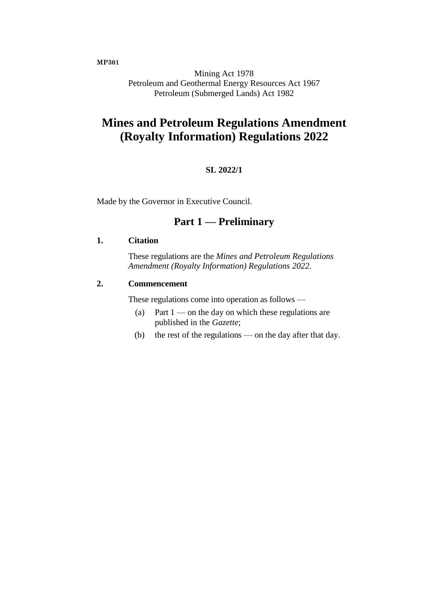**MP301**

Mining Act 1978 Petroleum and Geothermal Energy Resources Act 1967 Petroleum (Submerged Lands) Act 1982

# **Mines and Petroleum Regulations Amendment (Royalty Information) Regulations 2022**

### **SL 2022/1**

Made by the Governor in Executive Council.

### **Part 1 — Preliminary**

#### **1. Citation**

These regulations are the *Mines and Petroleum Regulations Amendment (Royalty Information) Regulations 2022*.

#### **2. Commencement**

These regulations come into operation as follows —

- (a) Part  $1$  on the day on which these regulations are published in the *Gazette*;
- (b) the rest of the regulations on the day after that day.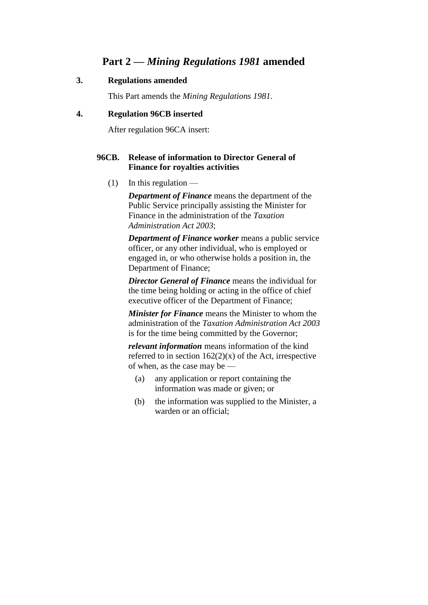### **Part 2 —** *Mining Regulations 1981* **amended**

### **3. Regulations amended**

This Part amends the *Mining Regulations 1981*.

### **4. Regulation 96CB inserted**

After regulation 96CA insert:

### **96CB. Release of information to Director General of Finance for royalties activities**

 $(1)$  In this regulation —

*Department of Finance* means the department of the Public Service principally assisting the Minister for Finance in the administration of the *Taxation Administration Act 2003*;

*Department of Finance worker* means a public service officer, or any other individual, who is employed or engaged in, or who otherwise holds a position in, the Department of Finance;

*Director General of Finance* means the individual for the time being holding or acting in the office of chief executive officer of the Department of Finance;

*Minister for Finance* means the Minister to whom the administration of the *Taxation Administration Act 2003* is for the time being committed by the Governor;

*relevant information* means information of the kind referred to in section  $162(2)(x)$  of the Act, irrespective of when, as the case may be —

- (a) any application or report containing the information was made or given; or
- (b) the information was supplied to the Minister, a warden or an official;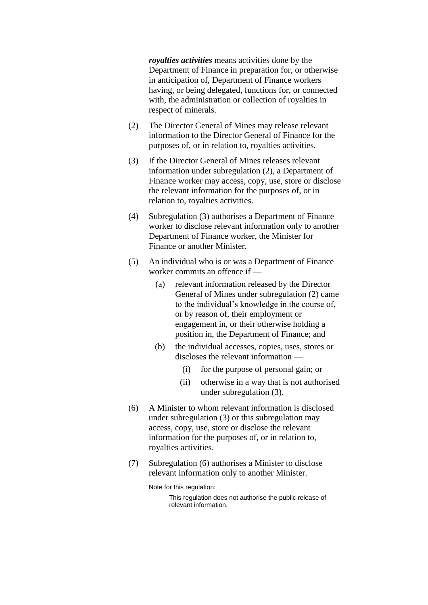*royalties activities* means activities done by the Department of Finance in preparation for, or otherwise in anticipation of, Department of Finance workers having, or being delegated, functions for, or connected with, the administration or collection of royalties in respect of minerals.

- (2) The Director General of Mines may release relevant information to the Director General of Finance for the purposes of, or in relation to, royalties activities.
- (3) If the Director General of Mines releases relevant information under subregulation (2), a Department of Finance worker may access, copy, use, store or disclose the relevant information for the purposes of, or in relation to, royalties activities.
- (4) Subregulation (3) authorises a Department of Finance worker to disclose relevant information only to another Department of Finance worker, the Minister for Finance or another Minister.
- (5) An individual who is or was a Department of Finance worker commits an offence if —
	- (a) relevant information released by the Director General of Mines under subregulation (2) came to the individual's knowledge in the course of, or by reason of, their employment or engagement in, or their otherwise holding a position in, the Department of Finance; and
	- (b) the individual accesses, copies, uses, stores or discloses the relevant information —
		- (i) for the purpose of personal gain; or
		- (ii) otherwise in a way that is not authorised under subregulation (3).
- (6) A Minister to whom relevant information is disclosed under subregulation (3) or this subregulation may access, copy, use, store or disclose the relevant information for the purposes of, or in relation to, royalties activities.
- (7) Subregulation (6) authorises a Minister to disclose relevant information only to another Minister.

Note for this regulation:

This regulation does not authorise the public release of relevant information.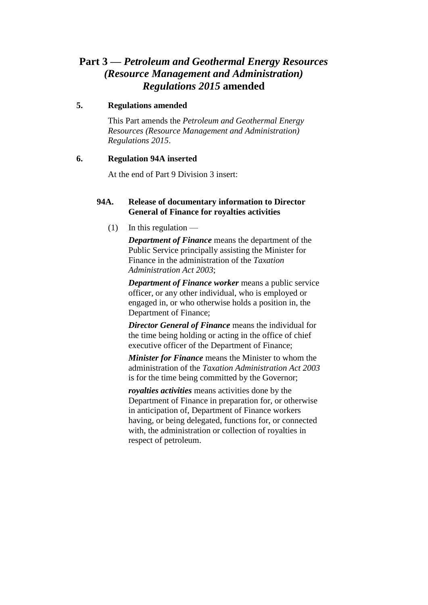## **Part 3 —** *Petroleum and Geothermal Energy Resources (Resource Management and Administration) Regulations 2015* **amended**

### **5. Regulations amended**

This Part amends the *Petroleum and Geothermal Energy Resources (Resource Management and Administration) Regulations 2015*.

### **6. Regulation 94A inserted**

At the end of Part 9 Division 3 insert:

### **94A. Release of documentary information to Director General of Finance for royalties activities**

 $(1)$  In this regulation —

*Department of Finance* means the department of the Public Service principally assisting the Minister for Finance in the administration of the *Taxation Administration Act 2003*;

*Department of Finance worker* means a public service officer, or any other individual, who is employed or engaged in, or who otherwise holds a position in, the Department of Finance;

*Director General of Finance* means the individual for the time being holding or acting in the office of chief executive officer of the Department of Finance;

*Minister for Finance* means the Minister to whom the administration of the *Taxation Administration Act 2003* is for the time being committed by the Governor;

*royalties activities* means activities done by the Department of Finance in preparation for, or otherwise in anticipation of, Department of Finance workers having, or being delegated, functions for, or connected with, the administration or collection of royalties in respect of petroleum.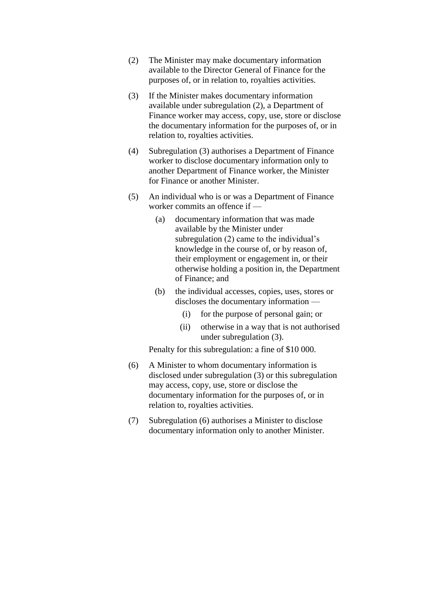- (2) The Minister may make documentary information available to the Director General of Finance for the purposes of, or in relation to, royalties activities.
- (3) If the Minister makes documentary information available under subregulation (2), a Department of Finance worker may access, copy, use, store or disclose the documentary information for the purposes of, or in relation to, royalties activities.
- (4) Subregulation (3) authorises a Department of Finance worker to disclose documentary information only to another Department of Finance worker, the Minister for Finance or another Minister.
- (5) An individual who is or was a Department of Finance worker commits an offence if —
	- (a) documentary information that was made available by the Minister under subregulation (2) came to the individual's knowledge in the course of, or by reason of, their employment or engagement in, or their otherwise holding a position in, the Department of Finance; and
	- (b) the individual accesses, copies, uses, stores or discloses the documentary information —
		- (i) for the purpose of personal gain; or
		- (ii) otherwise in a way that is not authorised under subregulation (3).

Penalty for this subregulation: a fine of \$10 000.

- (6) A Minister to whom documentary information is disclosed under subregulation (3) or this subregulation may access, copy, use, store or disclose the documentary information for the purposes of, or in relation to, royalties activities.
- (7) Subregulation (6) authorises a Minister to disclose documentary information only to another Minister.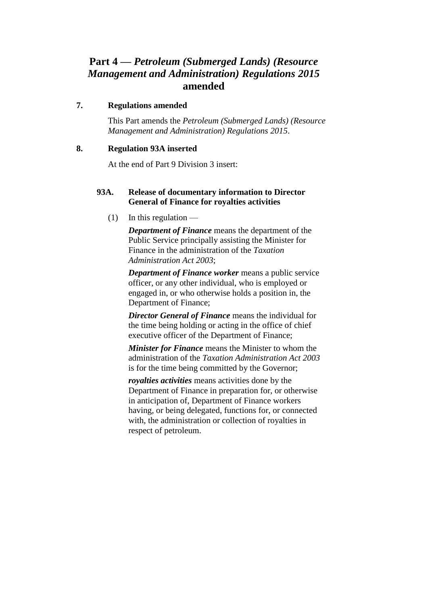## **Part 4 —** *Petroleum (Submerged Lands) (Resource Management and Administration) Regulations 2015* **amended**

### **7. Regulations amended**

This Part amends the *Petroleum (Submerged Lands) (Resource Management and Administration) Regulations 2015*.

### **8. Regulation 93A inserted**

At the end of Part 9 Division 3 insert:

### **93A. Release of documentary information to Director General of Finance for royalties activities**

 $(1)$  In this regulation —

*Department of Finance* means the department of the Public Service principally assisting the Minister for Finance in the administration of the *Taxation Administration Act 2003*;

*Department of Finance worker* means a public service officer, or any other individual, who is employed or engaged in, or who otherwise holds a position in, the Department of Finance;

*Director General of Finance* means the individual for the time being holding or acting in the office of chief executive officer of the Department of Finance;

*Minister for Finance* means the Minister to whom the administration of the *Taxation Administration Act 2003* is for the time being committed by the Governor;

*royalties activities* means activities done by the Department of Finance in preparation for, or otherwise in anticipation of, Department of Finance workers having, or being delegated, functions for, or connected with, the administration or collection of royalties in respect of petroleum.